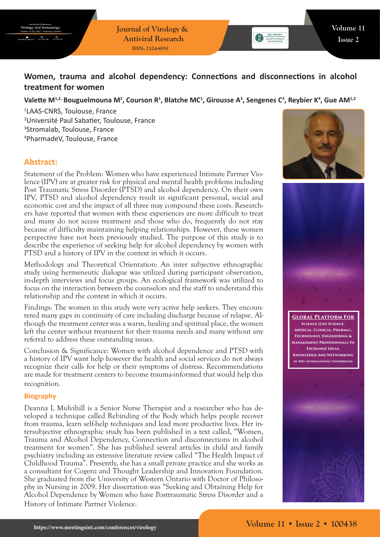**Journal of Virology & Antiviral Research ISSN: 2324-8955**

# **Women, trauma and alcohol dependency: Connections and disconnections in alcohol treatment for women**

## Valette M<sup>1,2,</sup> Bouguelmouna M<sup>2</sup>, Courson R<sup>1</sup>, Blatche MC<sup>1</sup>, Girousse A<sup>3</sup>, Sengenes C<sup>3</sup>, Reybier K<sup>4</sup>, Gue AM<sup>1,2</sup>

 LAAS-CNRS, Toulouse, France Université Paul Sabatier, Toulouse, France Stromalab, Toulouse, France PharmadeV, Toulouse, France

## **Abstract:**

Statement of the Problem: Women who have experienced Intimate Partner Violence (IPV) are at greater risk for physical and mental health problems including Post Traumatic Stress Disorder (PTSD) and alcohol dependency. On their own IPV, PTSD and alcohol dependency result in significant personal, social and economic cost and the impact of all three may compound these costs. Researchers have reported that women with these experiences are more difficult to treat and many do not access treatment and those who do, frequently do not stay because of difficulty maintaining helping relationships. However, these women perspective have not been previously studied. The purpose of this study is to describe the experience of seeking help for alcohol dependency by women with PTSD and a history of IPV in the context in which it occurs.

Methodology and Theoretical Orientation: An inter subjective ethnographic study using hermeneutic dialogue was utilized during participant observation, in-depth interviews and focus groups. An ecological framework was utilized to focus on the interaction between the counselors and the staff to understand this relationship and the context in which it occurs.

Findings: The women in this study were very active help seekers. They encountered many gaps in continuity of care including discharge because of relapse. Although the treatment center was a warm, healing and spiritual place, the women left the center without treatment for their trauma needs and many without any referral to address these outstanding issues.

Conclusion & Significance: Women with alcohol dependence and PTSD with a history of IPV want help however the health and social services do not always recognize their calls for help or their symptoms of distress. Recommendations are made for treatment centers to become trauma-informed that would help this recognition.

#### **Biography**

Deanna L Mulvihill is a Senior Nurse Therapist and a researcher who has developed a technique called Rebinding of the Body which helps people recover from trauma, learn self-help techniques and lead more productive lives. Her intersubjective ethnographic study has been published in a text called, "Women, Trauma and Alcohol Dependency, Connection and disconnections in alcohol treatment for women". She has published several articles in child and family psychiatry including an extensive literature review called "The Health Impact of Childhood Trauma". Presently, she has a small private practice and she works as a consultant for Cogenz and Thought Leadership and Innovation Foundation. She graduated from the University of Western Ontario with Doctor of Philosophy in Nursing in 2009. Her dissertation was "Seeking and Obtaining Help for Alcohol Dependence by Women who have Posttraumatic Stress Disorder and a History of Intimate Partner Violence.





**Global Platform For Science (Life Science, Medical, Clinical, Pharma), Technology, Engineering & Management Professionals To Exchange Ideas, Knowledge And Networking At 300+ International Conferences**